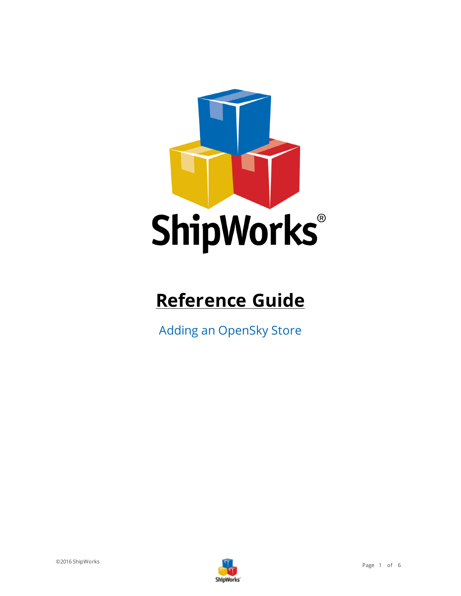

# **Reference Guide**

Adding an OpenSky Store

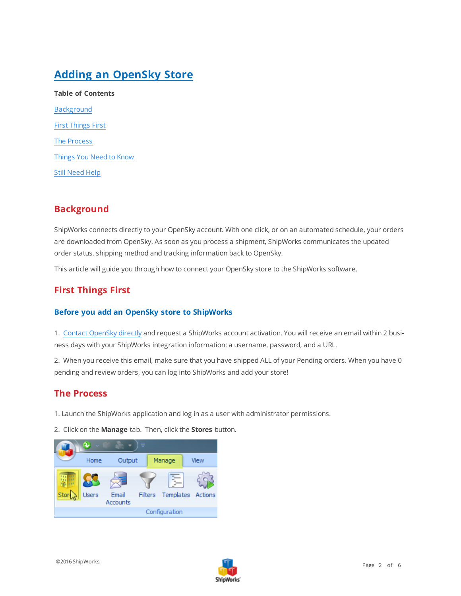## **Adding an OpenSky Store**

| <b>Table of Contents</b>  |
|---------------------------|
| <b>Background</b>         |
| <b>First Things First</b> |
| The Process               |
| Things You Need to Know   |
| <b>Still Need Help</b>    |

## <span id="page-1-0"></span>**Background**

ShipWorks connects directly to your OpenSky account. With one click, or on an automated schedule, your orders are downloaded from OpenSky. As soon as you process a shipment, ShipWorks communicates the updated order status, shipping method and tracking information back to OpenSky.

<span id="page-1-1"></span>This article will guide you through how to connect your OpenSky store to the ShipWorks software.

## **First Things First**

#### **Before you add an OpenSky store to ShipWorks**

1. Contact [OpenSky](https://www.opensky.com/content/contact-us#shipworks-help) directly and request a ShipWorks account activation. You will receive an email within 2 business days with your ShipWorks integration information: a username, password, and a URL.

<span id="page-1-2"></span>2. When you receive this email, make sure that you have shipped ALL of your Pending orders. When you have 0 pending and review orders, you can log into ShipWorks and add your store!

## **The Process**

- 1. Launch the ShipWorks application and log in as a user with administrator permissions.
- 2. Click on the **Manage** tab. Then, click the **Stores** button.



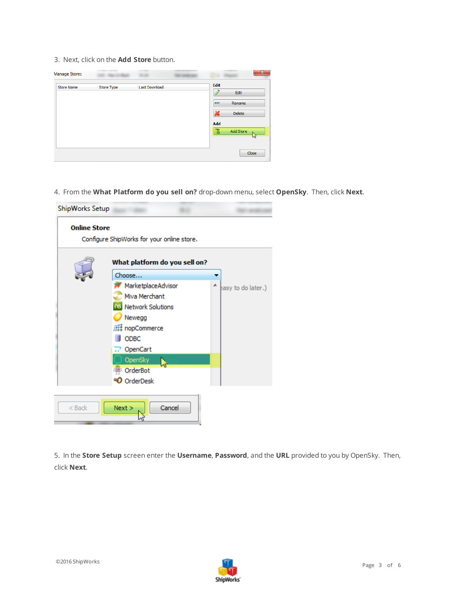3. Next, click on the **Add Store** button.

| Store Type | Last Download | <b>Edit</b> | Edit                      |
|------------|---------------|-------------|---------------------------|
|            |               | <b>ABC</b>  | Rename<br><b>Delete</b>   |
|            |               | Add<br>u.   | Add Store                 |
|            |               |             | W<br>Close                |
|            |               |             | $\boldsymbol{\mathsf{x}}$ |

4. From the **What Platform do you sell on?** drop-down menu, select **OpenSky**. Then, click **Next**.

| ShipWorks Setup     |                                            |                    |
|---------------------|--------------------------------------------|--------------------|
| <b>Online Store</b> | Configure ShipWorks for your online store. |                    |
|                     | What platform do you sell on?              |                    |
|                     | Choose                                     |                    |
|                     | MarketplaceAdvisor                         | easy to do later.) |
|                     | Miva Merchant                              |                    |
|                     | <b>NS</b> Network Solutions                |                    |
|                     | Newegg                                     |                    |
|                     | <b>All nopCommerce</b>                     |                    |
|                     | <b>ODBC</b>                                |                    |
|                     | 7 OpenCart                                 |                    |
|                     | OpenSky                                    |                    |
|                     | OrderBot                                   |                    |
|                     | $\mathsf D$ OrderDesk                      |                    |
|                     |                                            |                    |
| $<$ Back            | Cancel<br>Next >                           |                    |

5. In the **Store Setup** screen enter the **Username**, **Password**, and the **URL** provided to you by OpenSky. Then, click **Next**.

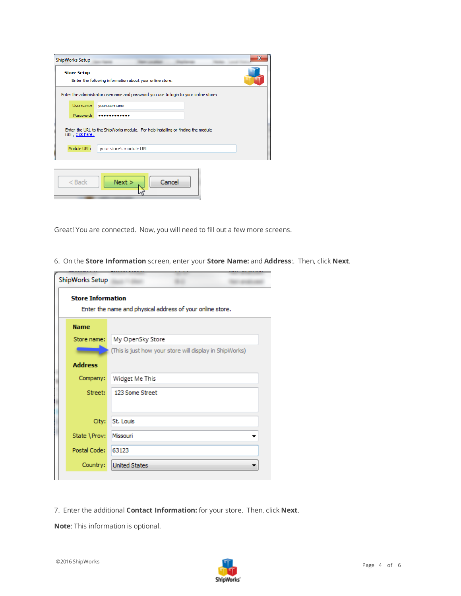| <b>ShipWorks Setup</b> | х                                                                                    |
|------------------------|--------------------------------------------------------------------------------------|
| <b>Store Setup</b>     | Enter the following information about your online store.                             |
|                        | Enter the administrator username and password you use to login to your online store: |
| Username:              | yourusername                                                                         |
| Password:              |                                                                                      |
| URL, click here.       | Enter the URL to the ShipWorks module. For help installing or finding the module     |
| Module URL:            | your store's module URL                                                              |
|                        |                                                                                      |
| $<$ Back               | Cancel<br>Next >                                                                     |

Great! You are connected. Now, you will need to fill out a few more screens.

6. On the **Store Information** screen, enter your **Store Name:** and **Address**:. Then, click **Next**.

| ShipWorks Setup          |                                                           |
|--------------------------|-----------------------------------------------------------|
| <b>Store Information</b> | Enter the name and physical address of your online store. |
| <b>Name</b>              |                                                           |
| Store name:              | My OpenSky Store                                          |
|                          | (This is just how your store will display in ShipWorks)   |
| <b>Address</b>           |                                                           |
| Company:                 | Widget Me This                                            |
| Street:                  | 123 Some Street                                           |
|                          |                                                           |
| City:                    | St. Louis                                                 |
| State \Prov:             | Missouri                                                  |
| Postal Code:             | 63123                                                     |
| Country:                 | <b>United States</b>                                      |
|                          |                                                           |

7. Enter the additional **Contact Information:** for your store. Then, click **Next**.

**Note**: This information is optional.

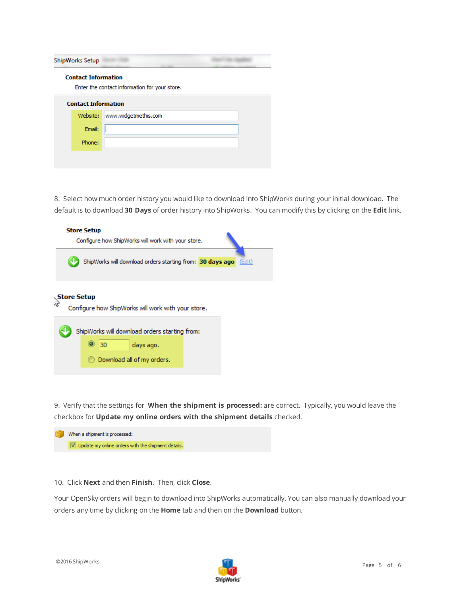| ShipWorks Setup            |                                               |  |
|----------------------------|-----------------------------------------------|--|
| <b>Contact Information</b> | Enter the contact information for your store. |  |
| <b>Contact Information</b> |                                               |  |
| Website:                   | www.widgetmethis.com                          |  |
| Email:                     |                                               |  |
| Phone:                     |                                               |  |
|                            |                                               |  |

8. Select how much order history you would like to download into ShipWorks during your initial download. The default is to download **30 Days** of order history into ShipWorks. You can modify this by clicking on the **Edit** link.

|  | <b>Store Setup</b> |    | Configure how ShipWorks will work with your store.                                                               |  |        |
|--|--------------------|----|------------------------------------------------------------------------------------------------------------------|--|--------|
|  |                    |    | ShipWorks will download orders starting from: 30 days ago                                                        |  | (Edit) |
|  | Store Setup        | 30 | Configure how ShipWorks will work with your store.<br>ShipWorks will download orders starting from:<br>days ago. |  |        |
|  |                    |    | Download all of my orders.                                                                                       |  |        |

9. Verify that the settings for **When the shipment is processed:** are correct. Typically, you would leave the checkbox for **Update my online orders with the shipment details** checked.

| $ \nabla $ Update my online orders with the shipment details. | When a shipment is processed: |
|---------------------------------------------------------------|-------------------------------|
|                                                               |                               |

#### 10. Click **Next** and then **Finish**. Then, click **Close**.

Your OpenSky orders will begin to download into ShipWorks automatically. You can also manually download your orders any time by clicking on the **Home** tab and then on the **Download** button.